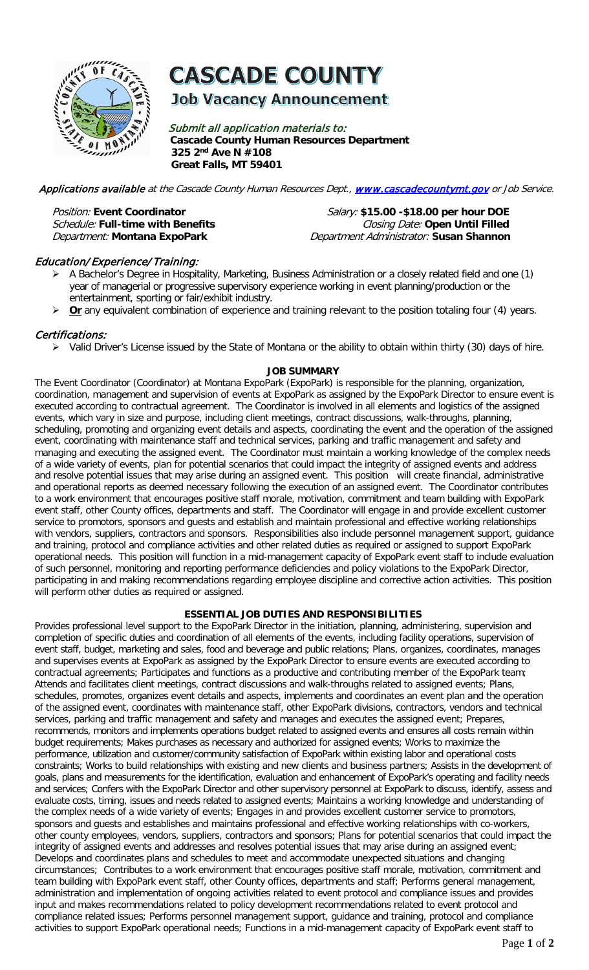

**CASCADE COUNTY** 

**Job Vacancy Announcement** 

Submit all application materials to: **Cascade County Human Resources Department 325 2nd Ave N #108 Great Falls, MT 59401** 

Applications available at the Cascade County Human Resources Dept., [www.cascadecountymt.gov](http://www.cascadecountymt.gov/) or Job Service.

Position: Event Coordinator **Contaggled Burnoce Coordinator** Salary: **\$15.00 -\$18.00 per hour DOE**<br>*Schedule:* Full-time with Benefits **Coordinator Burnoce Closing Date: Open Until Filled Closing Date: Open Until Filled** Department: **Montana ExpoPark** Department Administrator: **Susan Shannon**

## Education/ Experience/Training:

- A Bachelor's Degree in Hospitality, Marketing, Business Administration or a closely related field and one (1) year of managerial or progressive supervisory experience working in event planning/production or the entertainment, sporting or fair/exhibit industry.
- **▶ Or** any equivalent combination of experience and training relevant to the position totaling four (4) years.

# Certifications:

Valid Driver's License issued by the State of Montana or the ability to obtain within thirty (30) days of hire.

## **JOB SUMMARY**

The Event Coordinator (Coordinator) at Montana ExpoPark (ExpoPark) is responsible for the planning, organization, coordination, management and supervision of events at ExpoPark as assigned by the ExpoPark Director to ensure event is executed according to contractual agreement. The Coordinator is involved in all elements and logistics of the assigned events, which vary in size and purpose, including client meetings, contract discussions, walk-throughs, planning, scheduling, promoting and organizing event details and aspects, coordinating the event and the operation of the assigned event, coordinating with maintenance staff and technical services, parking and traffic management and safety and managing and executing the assigned event. The Coordinator must maintain a working knowledge of the complex needs of a wide variety of events, plan for potential scenarios that could impact the integrity of assigned events and address and resolve potential issues that may arise during an assigned event. This position will create financial, administrative and operational reports as deemed necessary following the execution of an assigned event. The Coordinator contributes to a work environment that encourages positive staff morale, motivation, commitment and team building with ExpoPark event staff, other County offices, departments and staff. The Coordinator will engage in and provide excellent customer service to promotors, sponsors and guests and establish and maintain professional and effective working relationships with vendors, suppliers, contractors and sponsors. Responsibilities also include personnel management support, quidance and training, protocol and compliance activities and other related duties as required or assigned to support ExpoPark operational needs. This position will function in a mid-management capacity of ExpoPark event staff to include evaluation of such personnel, monitoring and reporting performance deficiencies and policy violations to the ExpoPark Director, participating in and making recommendations regarding employee discipline and corrective action activities. This position will perform other duties as required or assigned.

## **ESSENTIAL JOB DUTIES AND RESPONSIBILITIES**

Provides professional level support to the ExpoPark Director in the initiation, planning, administering, supervision and completion of specific duties and coordination of all elements of the events, including facility operations, supervision of event staff, budget, marketing and sales, food and beverage and public relations; Plans, organizes, coordinates, manages and supervises events at ExpoPark as assigned by the ExpoPark Director to ensure events are executed according to contractual agreements; Participates and functions as a productive and contributing member of the ExpoPark team; Attends and facilitates client meetings, contract discussions and walk-throughs related to assigned events; Plans, schedules, promotes, organizes event details and aspects, implements and coordinates an event plan and the operation of the assigned event, coordinates with maintenance staff, other ExpoPark divisions, contractors, vendors and technical services, parking and traffic management and safety and manages and executes the assigned event; Prepares, recommends, monitors and implements operations budget related to assigned events and ensures all costs remain within budget requirements; Makes purchases as necessary and authorized for assigned events; Works to maximize the performance, utilization and customer/community satisfaction of ExpoPark within existing labor and operational costs constraints; Works to build relationships with existing and new clients and business partners; Assists in the development of goals, plans and measurements for the identification, evaluation and enhancement of ExpoPark's operating and facility needs and services; Confers with the ExpoPark Director and other supervisory personnel at ExpoPark to discuss, identify, assess and evaluate costs, timing, issues and needs related to assigned events; Maintains a working knowledge and understanding of the complex needs of a wide variety of events; Engages in and provides excellent customer service to promotors, sponsors and guests and establishes and maintains professional and effective working relationships with co-workers, other county employees, vendors, suppliers, contractors and sponsors; Plans for potential scenarios that could impact the integrity of assigned events and addresses and resolves potential issues that may arise during an assigned event; Develops and coordinates plans and schedules to meet and accommodate unexpected situations and changing circumstances; Contributes to a work environment that encourages positive staff morale, motivation, commitment and team building with ExpoPark event staff, other County offices, departments and staff; Performs general management, administration and implementation of ongoing activities related to event protocol and compliance issues and provides input and makes recommendations related to policy development recommendations related to event protocol and compliance related issues; Performs personnel management support, guidance and training, protocol and compliance activities to support ExpoPark operational needs; Functions in a mid-management capacity of ExpoPark event staff to